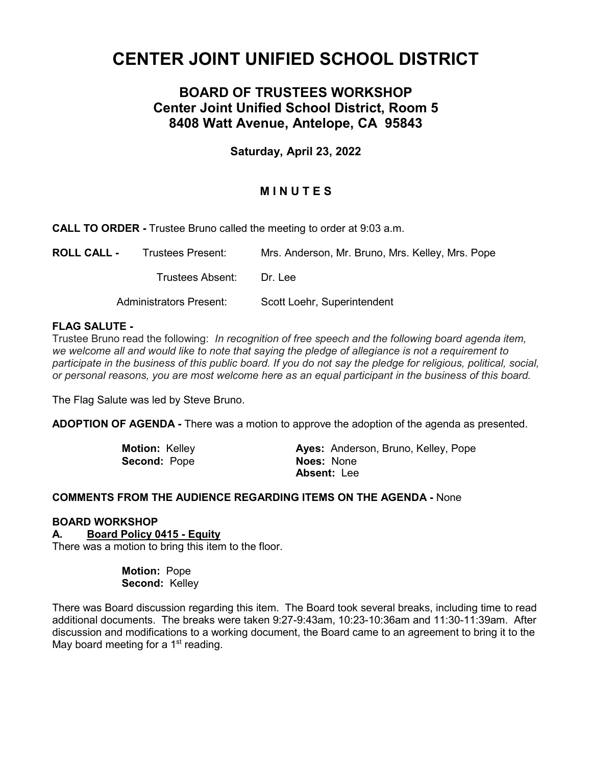# **CENTER JOINT UNIFIED SCHOOL DISTRICT**

# **BOARD OF TRUSTEES WORKSHOP Center Joint Unified School District, Room 5 8408 Watt Avenue, Antelope, CA 95843**

## **Saturday, April 23, 2022**

## **M I N U T E S**

**CALL TO ORDER -** Trustee Bruno called the meeting to order at 9:03 a.m.

| <b>ROLL CALL -</b> | Trustees Present:              | Mrs. Anderson, Mr. Bruno, Mrs. Kelley, Mrs. Pope |
|--------------------|--------------------------------|--------------------------------------------------|
|                    | Trustees Absent:               | Dr. Lee                                          |
|                    | <b>Administrators Present:</b> | Scott Loehr, Superintendent                      |

#### **FLAG SALUTE -**

Trustee Bruno read the following: *In recognition of free speech and the following board agenda item, we welcome all and would like to note that saying the pledge of allegiance is not a requirement to participate in the business of this public board. If you do not say the pledge for religious, political, social, or personal reasons, you are most welcome here as an equal participant in the business of this board.*

The Flag Salute was led by Steve Bruno.

**ADOPTION OF AGENDA -** There was a motion to approve the adoption of the agenda as presented.

**Second:** Pope **Noes:** None

**Motion:** Kelley **Ayes:** Anderson, Bruno, Kelley, Pope **Absent:** Lee

#### **COMMENTS FROM THE AUDIENCE REGARDING ITEMS ON THE AGENDA -** None

#### **BOARD WORKSHOP**

**A. Board Policy 0415 - Equity**

There was a motion to bring this item to the floor.

 **Motion:** Pope **Second:** Kelley

There was Board discussion regarding this item. The Board took several breaks, including time to read additional documents. The breaks were taken 9:27-9:43am, 10:23-10:36am and 11:30-11:39am. After discussion and modifications to a working document, the Board came to an agreement to bring it to the May board meeting for a  $1<sup>st</sup>$  reading.